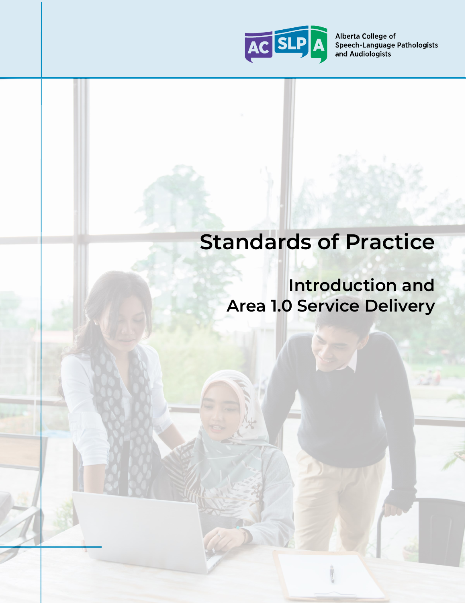

# **Standards of Practice**

# **Introduction and Area 1.0 Service Delivery**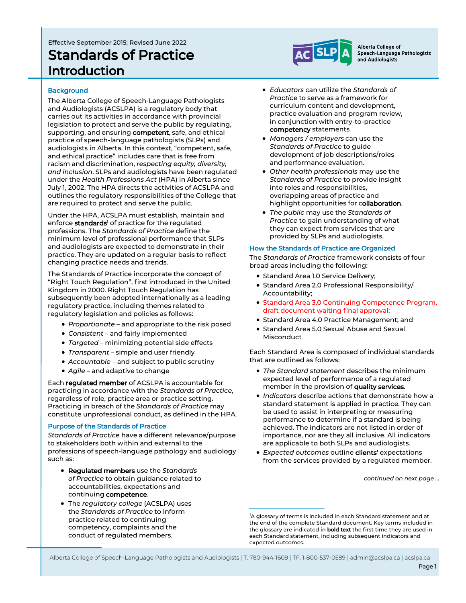# Effective September 2015; Revised June 2022 Standards of Practice Introduction

Alberta College of Speech-Language Pathologists and Audiologists

#### **Background**

The Alberta College of Speech-Language Pathologists and Audiologists (ACSLPA) is a regulatory body that carries out its activities in accordance with provincial legislation to protect and serve the public by regulating, supporting, and ensuring **competent**, safe, and ethical practice of speech-language pathologists (SLPs) and audiologists in Alberta. In this context, "competent, safe, and ethical practice" includes care that is free from racism and discrimination, *respecting equity, diversity, and inclusion*. SLPs and audiologists have been regulated under the *Health Professions Act* (HPA) in Alberta since July 1, 2002. The HPA directs the activities of ACSLPA and outlines the regulatory responsibilities of the College that are required to protect and serve the public.

Under the HPA, ACSLPA must establish, maintain and enforce standards<sup>1</sup> of practice for the regulated professions. The *Standards of Practice* define the minimum level of professional performance that SLPs and audiologists are expected to demonstrate in their practice. They are updated on a regular basis to reflect changing practice needs and trends.

The Standards of Practice incorporate the concept of "Right Touch Regulation", first introduced in the United Kingdom in 2000. Right Touch Regulation has subsequently been adopted internationally as a leading regulatory practice, including themes related to regulatory legislation and policies as follows:

- *Proportionate* and appropriate to the risk posed
- *Consistent* and fairly implemented
- *Targeted* minimizing potential side effects
- *Transparent* simple and user friendly
- *Accountable* and subject to public scrutiny
- *Agile* and adaptive to change

Each regulated member of ACSLPA is accountable for practicing in accordance with the *Standards of Practice*, regardless of role, practice area or practice setting. Practicing in breach of the *Standards of Practice* may constitute unprofessional conduct, as defined in the HPA.

#### Purpose of the Standards of Practice

*Standards of Practice* have a different relevance/purpose to stakeholders both within and external to the professions of speech-language pathology and audiology such as:

- Regulated members use the *Standards of Practice* to obtain guidance related to accountabilities, expectations and continuing competence.
- The *regulatory college* (ACSLPA) uses the *Standards of Practice* to inform practice related to continuing competency, complaints and the conduct of regulated members.
- *Educators* can utilize the *Standards of Practice* to serve as a framework for curriculum content and development, practice evaluation and program review, in conjunction with entry-to-practice competency statements*.*
- *Managers / employers* can use the *Standards of Practice* to guide development of job descriptions/roles and performance evaluation.
- *Other health professionals* may use the *Standards of Practice* to provide insight into roles and responsibilities, overlapping areas of practice and highlight opportunities for collaboration.
- *The public* may use the *Standards of Practice* to gain understanding of what they can expect from services that are provided by SLPs and audiologists.

#### How the Standards of Practice are Organized

The *Standards of Practice* framework consists of four broad areas including the following:

- Standard Area 1.0 Service Delivery;
- Standard Area 2.0 Professional Responsibility/ Accountability;
- Standard Area 3.0 Continuing Competence Program, draft document waiting final approval;
- Standard Area 4.0 Practice Management; and
- Standard Area 5.0 Sexual Abuse and Sexual **Misconduct**

Each Standard Area is composed of individual standards that are outlined as follows:

- *The Standard statement* describes the minimum expected level of performance of a regulated member in the provision of quality services.
- *Indicators* describe actions that demonstrate how a standard statement is applied in practice. They can be used to assist in interpreting or measuring performance to determine if a standard is being achieved. The indicators are not listed in order of importance, nor are they all inclusive. All indicators are applicable to both SLPs and audiologists.
- *Expected outcomes* outline clients' expectations from the services provided by a regulated member.

*continued on next page ...* 

Alberta College of Speech-Language Pathologists and Audiologists | T. 780-944-1609 | TF. 1-800-537-0589 | admin@acslpa.ca | acslpa.ca

<sup>&</sup>lt;sup>1</sup>A glossary of terms is included in each Standard statement and at the end of the complete Standard document. Key terms included in the glossary are indicated in **bold text** the first time they are used in each Standard statement, including subsequent indicators and expected outcomes.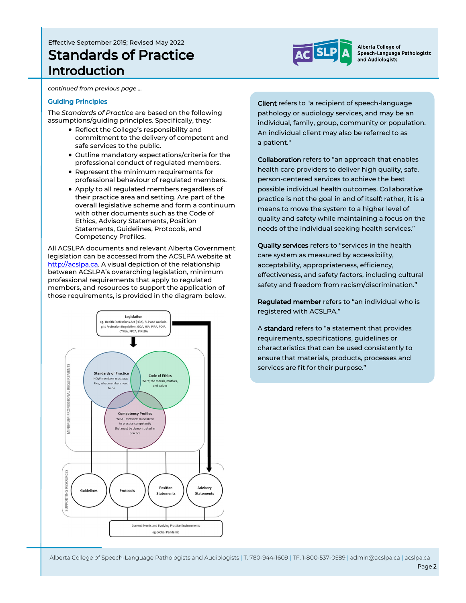# Effective September 2015; Revised May 2022 Standards of Practice Introduction



Alberta College of Speech-Language Pathologists and Audiologists

*continued from previous page …*

#### Guiding Principles

The *Standards of Practice* are based on the following assumptions/guiding principles. Specifically, they:

- Reflect the College's responsibility and commitment to the delivery of competent and safe services to the public.
- Outline mandatory expectations/criteria for the professional conduct of regulated members.
- Represent the minimum requirements for professional behaviour of regulated members.
- Apply to all regulated members regardless of their practice area and setting. Are part of the overall legislative scheme and form a continuum with other documents such as the Code of Ethics, Advisory Statements, Position Statements, Guidelines, Protocols, and Competency Profiles.

All ACSLPA documents and relevant Alberta Government legislation can be accessed from the ACSLPA website at [http://acslpa.ca.](http://acslpa.ca/) A visual depiction of the relationship between ACSLPA's overarching legislation, minimum professional requirements that apply to regulated members, and resources to support the application of those requirements, is provided in the diagram below.



Client refers to "a recipient of speech-language pathology or audiology services, and may be an individual, family, group, community or population. An individual client may also be referred to as a patient."

Collaboration refers to "an approach that enables health care providers to deliver high quality, safe, person-centered services to achieve the best possible individual health outcomes. Collaborative practice is not the goal in and of itself: rather, it is a means to move the system to a higher level of quality and safety while maintaining a focus on the needs of the individual seeking health services."

Quality services refers to "services in the health care system as measured by accessibility, acceptability, appropriateness, efficiency, effectiveness, and safety factors, including cultural safety and freedom from racism/discrimination."

Regulated member refers to "an individual who is registered with ACSLPA."

A standard refers to "a statement that provides requirements, specifications, guidelines or characteristics that can be used consistently to ensure that materials, products, processes and services are fit for their purpose."

Alberta College of Speech-Language Pathologists and Audiologists | T. 780-944-1609 | TF. 1-800-537-0589 | admin@acslpa.ca | acslpa.ca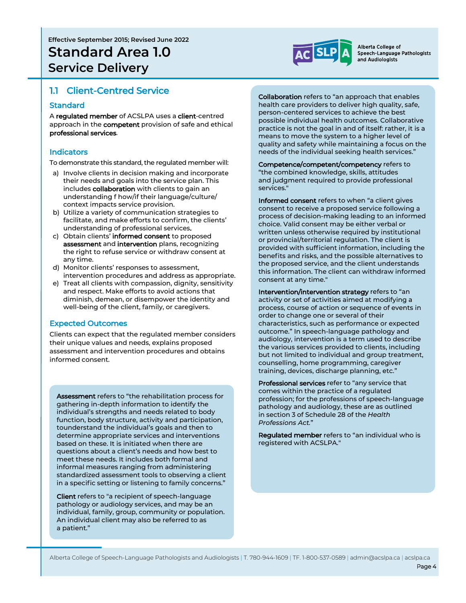

## 1.1 Client-Centred Service

#### **Standard**

A regulated member of ACSLPA uses a client-centred approach in the **competent** provision of safe and ethical professional services.

#### Indicators

To demonstrate this standard, the regulated member will:

- a) Involve clients in decision making and incorporate their needs and goals into the service plan. This includes collaboration with clients to gain an understanding f how/if their language/culture/ context impacts service provision.
- b) Utilize a variety of communication strategies to facilitate, and make efforts to confirm, the clients' understanding of professional services.
- c) Obtain clients' informed consent to proposed assessment and intervention plans, recognizing the right to refuse service or withdraw consent at any time.
- d) Monitor clients' responses to assessment, intervention procedures and address as appropriate.
- e) Treat all clients with compassion, dignity, sensitivity and respect. Make efforts to avoid actions that diminish, demean, or disempower the identity and well-being of the client, family, or caregivers.

#### Expected Outcomes

Clients can expect that the regulated member considers their unique values and needs, explains proposed assessment and intervention procedures and obtains informed consent.

Assessment refers to "the rehabilitation process for gathering in-depth information to identify the individual's strengths and needs related to body function, body structure, activity and participation, tounderstand the individual's goals and then to determine appropriate services and interventions based on these. It is initiated when there are questions about a client's needs and how best to meet these needs. It includes both formal and informal measures ranging from administering standardized assessment tools to observing a client in a specific setting or listening to family concerns."

Client refers to "a recipient of speech-language pathology or audiology services, and may be an individual, family, group, community or population. An individual client may also be referred to as a patient."

Collaboration refers to "an approach that enables health care providers to deliver high quality, safe, person-centered services to achieve the best possible individual health outcomes. Collaborative practice is not the goal in and of itself: rather, it is a means to move the system to a higher level of quality and safety while maintaining a focus on the needs of the individual seeking health services."

Competence/competent/competency refers to "the combined knowledge, skills, attitudes and judgment required to provide professional services."

Informed consent refers to when "a client gives consent to receive a proposed service following a process of decision-making leading to an informed choice. Valid consent may be either verbal or written unless otherwise required by institutional or provincial/territorial regulation. The client is provided with sufficient information, including the benefits and risks, and the possible alternatives to the proposed service, and the client understands this information. The client can withdraw informed consent at any time."

Intervention/intervention strategy refers to "an activity or set of activities aimed at modifying a process, course of action or sequence of events in order to change one or several of their characteristics, such as performance or expected outcome." In speech-language pathology and audiology, intervention is a term used to describe the various services provided to clients, including but not limited to individual and group treatment, counselling, home programming, caregiver training, devices, discharge planning, etc."

Professional services refer to "any service that comes within the practice of a regulated profession; for the professions of speech-language pathology and audiology, these are as outlined in section 3 of Schedule 28 of the *Health Professions Act.*"

Regulated member refers to "an individual who is registered with ACSLPA."

Alberta College of Speech-Language Pathologists and Audiologists | T. 780-944-1609 | TF. 1-800-537-0589 | admin@acslpa.ca | acslpa.ca

Page 4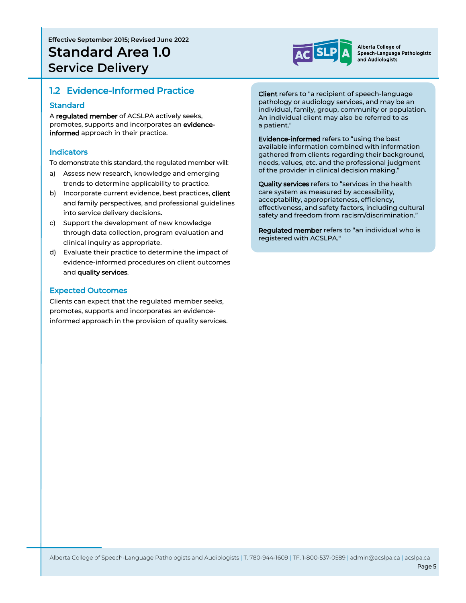

# 1.2 Evidence-Informed Practice

#### **Standard**

A regulated member of ACSLPA actively seeks, promotes, supports and incorporates an evidenceinformed approach in their practice.

#### **Indicators**

To demonstrate this standard, the regulated member will:

- a) Assess new research, knowledge and emerging trends to determine applicability to practice.
- b) Incorporate current evidence, best practices, client and family perspectives, and professional guidelines into service delivery decisions.
- c) Support the development of new knowledge through data collection, program evaluation and clinical inquiry as appropriate.
- d) Evaluate their practice to determine the impact of evidence-informed procedures on client outcomes and quality services.

#### Expected Outcomes

Clients can expect that the regulated member seeks, promotes, supports and incorporates an evidenceinformed approach in the provision of quality services.

Client refers to "a recipient of speech-language pathology or audiology services, and may be an individual, family, group, community or population. An individual client may also be referred to as a patient."

Evidence-informed refers to "using the best available information combined with information gathered from clients regarding their background, needs, values, etc. and the professional judgment of the provider in clinical decision making."

Quality services refers to "services in the health care system as measured by accessibility, acceptability, appropriateness, efficiency, effectiveness, and safety factors, including cultural safety and freedom from racism/discrimination."

Regulated member refers to "an individual who is registered with ACSLPA."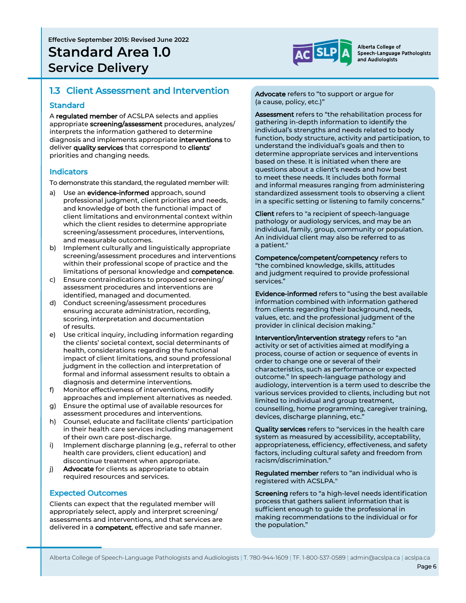

# 1.3 Client Assessment and Intervention

#### **Standard**

A regulated member of ACSLPA selects and applies appropriate screening/assessment procedures, analyzes/ interprets the information gathered to determine diagnosis and implements appropriate interventions to deliver quality services that correspond to clients' priorities and changing needs.

#### **Indicators**

To demonstrate this standard, the regulated member will:

- a) Use an evidence-informed approach, sound professional judgment, client priorities and needs, and knowledge of both the functional impact of client limitations and environmental context within which the client resides to determine appropriate screening/assessment procedures, interventions, and measurable outcomes.
- b) Implement culturally and linguistically appropriate screening/assessment procedures and interventions within their professional scope of practice and the limitations of personal knowledge and competence.
- c) Ensure contraindications to proposed screening/ assessment procedures and interventions are identified, managed and documented.
- d) Conduct screening/assessment procedures ensuring accurate administration, recording, scoring, interpretation and documentation of results.
- e) Use critical inquiry, including information regarding the clients' societal context, social determinants of health, considerations regarding the functional impact of client limitations, and sound professional judgment in the collection and interpretation of formal and informal assessment results to obtain a diagnosis and determine interventions.
- f) Monitor effectiveness of interventions, modify approaches and implement alternatives as needed.
- g) Ensure the optimal use of available resources for assessment procedures and interventions.
- h) Counsel, educate and facilitate clients' participation in their health care services including management of their own care post-discharge.
- i) Implement discharge planning (e.g., referral to other health care providers, client education) and discontinue treatment when appropriate.
- j) Advocate for clients as appropriate to obtain required resources and services.

#### Expected Outcomes

Clients can expect that the regulated member will appropriately select, apply and interpret screening/ assessments and interventions, and that services are delivered in a competent, effective and safe manner.

Advocate refers to "to support or argue for (a cause, policy, etc.)"

Assessment refers to "the rehabilitation process for gathering in-depth information to identify the individual's strengths and needs related to body function, body structure, activity and participation, to understand the individual's goals and then to determine appropriate services and interventions based on these. It is initiated when there are questions about a client's needs and how best to meet these needs. It includes both formal and informal measures ranging from administering standardized assessment tools to observing a client in a specific setting or listening to family concerns."

Client refers to "a recipient of speech-language pathology or audiology services, and may be an individual, family, group, community or population. An individual client may also be referred to as a patient."

Competence/competent/competency refers to "the combined knowledge, skills, attitudes and judgment required to provide professional services."

Evidence-informed refers to "using the best available information combined with information gathered from clients regarding their background, needs, values, etc. and the professional judgment of the provider in clinical decision making."

Intervention/intervention strategy refers to "an activity or set of activities aimed at modifying a process, course of action or sequence of events in order to change one or several of their characteristics, such as performance or expected outcome." In speech-language pathology and audiology, intervention is a term used to describe the various services provided to clients, including but not limited to individual and group treatment, counselling, home programming, caregiver training, devices, discharge planning, etc."

Quality services refers to "services in the health care system as measured by accessibility, acceptability, appropriateness, efficiency, effectiveness, and safety factors, including cultural safety and freedom from racism/discrimination."

Regulated member refers to "an individual who is registered with ACSLPA."

Screening refers to "a high-level needs identification process that gathers salient information that is sufficient enough to guide the professional in making recommendations to the individual or for the population."

Alberta College of Speech-Language Pathologists and Audiologists | T. 780-944-1609 | TF. 1-800-537-0589 | admin@acslpa.ca | acslpa.ca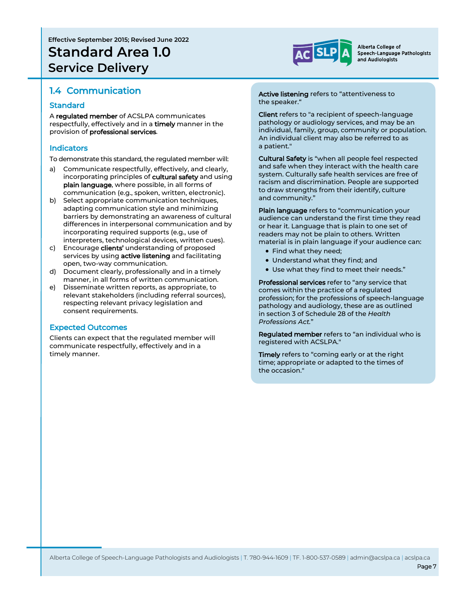# **Effective September 2015; Revised June 2022 Standard Area 1.0 Service Delivery**



Alberta College of Speech-Language Pathologists and Audiologists

# 1.4 Communication

#### **Standard**

A regulated member of ACSLPA communicates respectfully, effectively and in a timely manner in the provision of professional services.

#### Indicators

To demonstrate this standard, the regulated member will:

- a) Communicate respectfully, effectively, and clearly, incorporating principles of cultural safety and using plain language, where possible, in all forms of communication (e.g., spoken, written, electronic).
- b) Select appropriate communication techniques, adapting communication style and minimizing barriers by demonstrating an awareness of cultural differences in interpersonal communication and by incorporating required supports (e.g., use of interpreters, technological devices, written cues).
- c) Encourage clients' understanding of proposed services by using active listening and facilitating open, two-way communication.
- d) Document clearly, professionally and in a timely manner, in all forms of written communication.
- e) Disseminate written reports, as appropriate, to relevant stakeholders (including referral sources), respecting relevant privacy legislation and consent requirements.

#### Expected Outcomes

Clients can expect that the regulated member will communicate respectfully, effectively and in a timely manner.

Active listening refers to "attentiveness to the speaker."

Client refers to "a recipient of speech-language pathology or audiology services, and may be an individual, family, group, community or population. An individual client may also be referred to as a patient."

Cultural Safety is "when all people feel respected and safe when they interact with the health care system. Culturally safe health services are free of racism and discrimination. People are supported to draw strengths from their identify, culture and community."

Plain language refers to "communication your audience can understand the first time they read or hear it. Language that is plain to one set of readers may not be plain to others. Written material is in plain language if your audience can:

- Find what they need;
- Understand what they find; and
- Use what they find to meet their needs."

Professional services refer to "any service that comes within the practice of a regulated profession; for the professions of speech-language pathology and audiology, these are as outlined in section 3 of Schedule 28 of the *Health Professions Act.*"

Regulated member refers to "an individual who is registered with ACSLPA."

Timely refers to "coming early or at the right time; appropriate or adapted to the times of the occasion."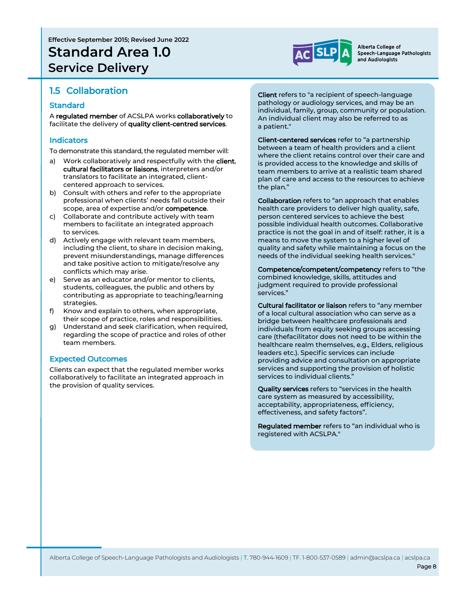# 1.5 Collaboration

#### **Standard**

A regulated member of ACSLPA works collaboratively to facilitate the delivery of quality client-centred services.

### **Indicators**

To demonstrate this standard, the regulated member will:

- a) Work collaboratively and respectfully with the **client**. cultural facilitators or liaisons, interpreters and/or translators to facilitate an integrated, clientcentered approach to services.
- b) Consult with others and refer to the appropriate professional when clients' needs fall outside their scope, area of expertise and/or **competence**.
- c) Collaborate and contribute actively with team members to facilitate an integrated approach to services.
- d) Actively engage with relevant team members, including the client, to share in decision making, prevent misunderstandings, manage differences and take positive action to mitigate/resolve any conflicts which may arise.
- e) Serve as an educator and/or mentor to clients, students, colleagues, the public and others by contributing as appropriate to teaching/learning strategies.
- f) Know and explain to others, when appropriate, their scope of practice, roles and responsibilities.
- g) Understand and seek clarification, when required, regarding the scope of practice and roles of other team members.

#### Expected Outcomes

Clients can expect that the regulated member works collaboratively to facilitate an integrated approach in the provision of quality services.

Client refers to "a recipient of speech-language pathology or audiology services, and may be an individual, family, group, community or population. An individual client may also be referred to as a patient."

Client-centered services refer to "a partnership between a team of health providers and a client where the client retains control over their care and is provided access to the knowledge and skills of team members to arrive at a realistic team shared plan of care and access to the resources to achieve the plan."

Collaboration refers to "an approach that enables health care providers to deliver high quality, safe, person centered services to achieve the best possible individual health outcomes. Collaborative practice is not the goal in and of itself: rather, it is a means to move the system to a higher level of quality and safety while maintaining a focus on the needs of the individual seeking health services."

Competence/competent/competency refers to "the combined knowledge, skills, attitudes and judgment required to provide professional services."

Cultural facilitator or liaison refers to "any member of a local cultural association who can serve as a bridge between healthcare professionals and individuals from equity seeking groups accessing care (thefacilitator does not need to be within the healthcare realm themselves, e.g., Elders, religious leaders etc.). Specific services can include providing advice and consultation on appropriate services and supporting the provision of holistic services to individual clients."

Quality services refers to "services in the health care system as measured by accessibility, acceptability, appropriateness, efficiency, effectiveness, and safety factors".

Regulated member refers to "an individual who is registered with ACSLPA."



Alberta College of Speech-Language Pathologists and Audiologists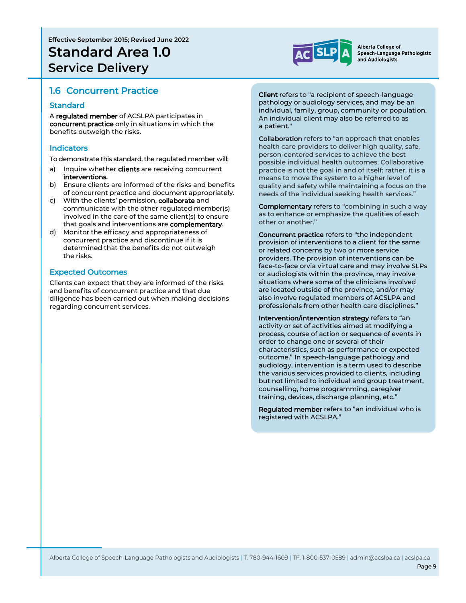

### 1.6 Concurrent Practice

#### **Standard**

A regulated member of ACSLPA participates in concurrent practice only in situations in which the benefits outweigh the risks.

#### Indicators

To demonstrate this standard, the regulated member will:

- a) Inquire whether clients are receiving concurrent interventions.
- b) Ensure clients are informed of the risks and benefits of concurrent practice and document appropriately.
- c) With the clients' permission, collaborate and communicate with the other regulated member(s) involved in the care of the same client(s) to ensure that goals and interventions are complementary.
- d) Monitor the efficacy and appropriateness of concurrent practice and discontinue if it is determined that the benefits do not outweigh the risks.

### Expected Outcomes

Clients can expect that they are informed of the risks and benefits of concurrent practice and that due diligence has been carried out when making decisions regarding concurrent services.

Client refers to "a recipient of speech-language pathology or audiology services, and may be an individual, family, group, community or population. An individual client may also be referred to as a patient."

Collaboration refers to "an approach that enables health care providers to deliver high quality, safe, person-centered services to achieve the best possible individual health outcomes. Collaborative practice is not the goal in and of itself: rather, it is a means to move the system to a higher level of quality and safety while maintaining a focus on the needs of the individual seeking health services."

**Complementary** refers to "combining in such a way as to enhance or emphasize the qualities of each other or another."

Concurrent practice refers to "the independent provision of interventions to a client for the same or related concerns by two or more service providers. The provision of interventions can be face-to-face orvia virtual care and may involve SLPs or audiologists within the province, may involve situations where some of the clinicians involved are located outside of the province, and/or may also involve regulated members of ACSLPA and professionals from other health care disciplines."

Intervention/intervention strategy refers to "an activity or set of activities aimed at modifying a process, course of action or sequence of events in order to change one or several of their characteristics, such as performance or expected outcome." In speech-language pathology and audiology, intervention is a term used to describe the various services provided to clients, including but not limited to individual and group treatment, counselling, home programming, caregiver training, devices, discharge planning, etc."

Regulated member refers to "an individual who is registered with ACSLPA."